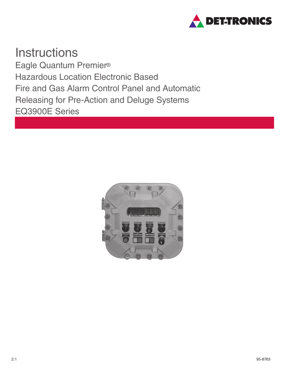

**Instructions** Eagle Quantum Premier® Hazardous Location Electronic Based Fire and Gas Alarm Control Panel and Automatic Releasing for Pre-Action and Deluge Systems EQ3900E Series

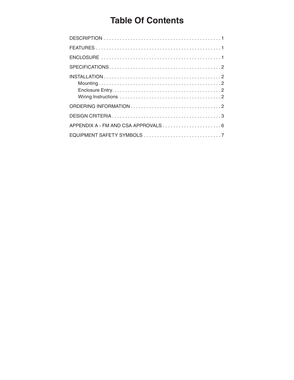# **Table Of Contents**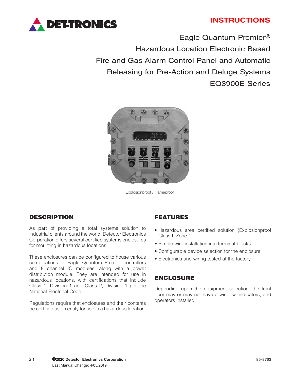

# **INSTRUCTIONS**

Eagle Quantum Premier® Hazardous Location Electronic Based Fire and Gas Alarm Control Panel and Automatic Releasing for Pre-Action and Deluge Systems EQ3900E Series



Explosionproof / Flameproof

### DESCRIPTION

As part of providing a total systems solution to industrial clients around the world, Detector Electronics Corporation offers several certified systems enclosures for mounting in hazardous locations.

These enclosures can be configured to house various combinations of Eagle Quantum Premier controllers and 8 channel IO modules, along with a power distribution module. They are intended for use in hazardous locations, with certifications that include Class 1, Division 1 and Class 2, Division 1 per the National Electrical Code.

Regulations require that enclosures and their contents be certified as an entity for use in a hazardous location.

#### FEATURES

- Hazardous area certified solution (Explosionproof Class I, Zone 1)
- Simple wire installation into terminal blocks
- Configurable device selection for the enclosure
- Electronics and wiring tested at the factory

#### ENCLOSURE

Depending upon the equipment selection, the front door may or may not have a window, indicators, and operators installed.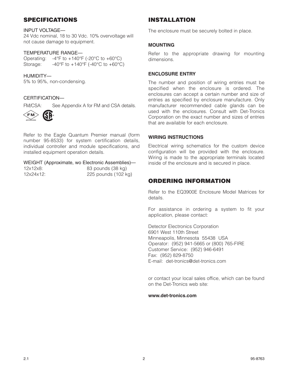# SPECIFICATIONS

#### INPUT VOLTAGE—

24 Vdc nominal, 18 to 30 Vdc. 10% overvoltage will not cause damage to equipment.

#### TEMPERATURE RANGE—

Operating:  $-4^{\circ}$ F to  $+140^{\circ}$ F (-20 $^{\circ}$ C to  $+60^{\circ}$ C) Storage:  $-40^{\circ}$ F to  $+140^{\circ}$ F (-40 $^{\circ}$ C to  $+60^{\circ}$ C)

#### HUMIDITY—

5% to 95%, non-condensing.

#### CERTIFICATION—

FM/CSA: See Appendix A for FM and CSA details.



Refer to the Eagle Quantum Premier manual (form number 95-8533) for system certification details, individual controller and module specifications, and installed equipment operation details.

#### WEIGHT (Approximate, wo Electronic Assemblies)—

| 12x12x8:  |  |
|-----------|--|
| 12x24x12: |  |

83 pounds (38 kg) 225 pounds (102 kg)

# INSTALLATION

The enclosure must be securely bolted in place.

#### **MOUNTING**

Refer to the appropriate drawing for mounting dimensions.

#### **ENCLOSURE ENTRY**

The number and position of wiring entries must be specified when the enclosure is ordered. The enclosures can accept a certain number and size of entries as specified by enclosure manufacture. Only manufacturer recommended cable glands can be used with the enclosures. Consult with Det-Tronics Corporation on the exact number and sizes of entries that are available for each enclosure.

#### **WIRING INSTRUCTIONS**

Electrical wiring schematics for the custom device configuration will be provided with the enclosure. Wiring is made to the appropriate terminals located inside of the enclosure and is secured in place.

# ORDERING INFORMATION

Refer to the EQ3900E Enclosure Model Matrices for details.

For assistance in ordering a system to fit your application, please contact:

Detector Electronics Corporation 6901 West 110th Street Minneapolis, Minnesota 55438 USA Operator: (952) 941-5665 or (800) 765-FIRE Customer Service: (952) 946-6491 Fax: (952) 829-8750 E-mail: det-tronics@det-tronics.com

or contact your local sales office, which can be found on the Det-Tronics web site:

#### **www.det-tronics.com**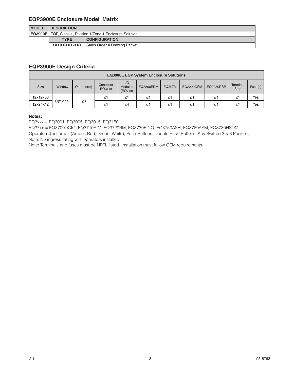#### **EQP3900E Enclosure Model Matrix**

| <b>IMODEL</b> | <b>IDESCRIPTION</b>                                        |                                                  |  |  |  |  |  |
|---------------|------------------------------------------------------------|--------------------------------------------------|--|--|--|--|--|
|               | EQ3900E EQP, Class 1, Division 1/Zone 1 Enclosure Solution |                                                  |  |  |  |  |  |
|               | <b>TYPE</b>                                                | <b>CONFIGURATION</b>                             |  |  |  |  |  |
|               |                                                            | <b>XXXXXXXX-XXX</b> Sales Order # Drawing Packet |  |  |  |  |  |

# **EQP3900E Design Criteria**

| <b>EQ3900E EQP System Enclosure Solutions</b> |          |             |                      |                                  |                  |        |                  |                  |                          |         |
|-----------------------------------------------|----------|-------------|----------------------|----------------------------------|------------------|--------|------------------|------------------|--------------------------|---------|
| <b>Size</b>                                   | Window   | Operator(s) | Controller<br>EQ3xxx | 1/O<br><b>Modules</b><br>(EQ7xx) | <b>EQ3800PDM</b> | EQ3LTM | <b>EQ2220GFM</b> | <b>EQ2230RSP</b> | Terminal<br><b>Strip</b> | Fuse(s) |
| 12x12x08                                      | Optional |             | ≤1                   | ≤1                               | ≤1               | ≤1     | ≤1               | ≤'               | ≤1                       | Yes     |
| 12x24x12                                      |          | $\leq 8$    | ≤1                   | ≤4                               | ≤1               | ≤1     | ≤1               | ≤'               | ≤1                       | Yes     |

#### **Notes:**

EQ3xxx = EQ3001, EQ3005, EQ3015, EQ3150.

EQ37xx = EQ3700DCIO, EQ3710AIM, EQ3720RM, EQ3730EDIO, EQ3750ASH, EQ3760ASM, EQ3780HSDM.

Operator(s) = Lamps (Amber, Red, Green, White), Push-Buttons, Double Push-Buttons, Key Switch (2 & 3 Position). Note: No ingress rating with operators installed.

Note: Terminals and fuses must be NRTL listed. Installation must follow OEM requirements.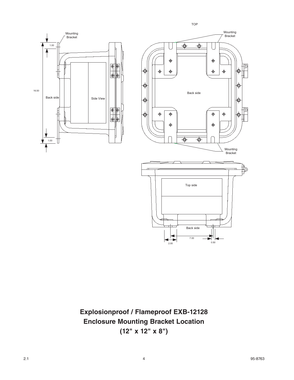

**Explosionproof / Flameproof EXB-12128 Enclosure Mounting Bracket Location (12" x 12" x 8")**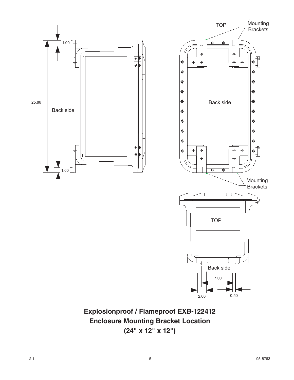

**Explosionproof / Flameproof EXB-122412 Enclosure Mounting Bracket Location (24" x 12" x 12")**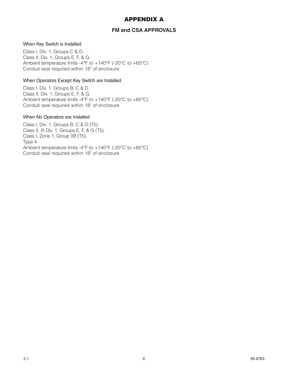# APPENDIX A

### **FM and CSA APPROVALS**

#### When Key Switch is Installed

Class I, Div. 1, Groups C & D. Class II, Div. 1, Groups E, F, & G. Ambient temperature limits -4°F to +140°F (-20°C to +60°C) Conduit seal required within 18" of enclosure

#### When Operators Except Key Switch are Installed

Class I, Div. 1, Groups B, C & D. Class II, Div. 1, Groups E, F, & G. Ambient temperature limits -4°F to +140°F (-20°C to +60°C) Conduit seal required within 18" of enclosure

#### When No Operators are Installed

Class I, Div. 1, Groups B, C & D (T5). Class II, III Div. 1, Groups E, F, & G (T5). Class I, Zone 1, Group IIB (T5). Type 4 Ambient temperature limits -4°F to +140°F (-20°C to +60°C) Conduit seal required within 18" of enclosure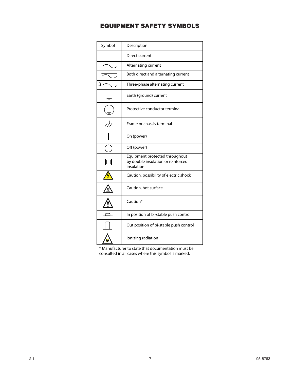# EQUIPMENT SAFETY SYMBOLS

| Symbol                   | Description                                                                        |
|--------------------------|------------------------------------------------------------------------------------|
|                          | Direct current                                                                     |
|                          | Alternating current                                                                |
|                          | Both direct and alternating current                                                |
|                          | Three-phase alternating current                                                    |
|                          | Earth (ground) current                                                             |
|                          | Protective conductor terminal                                                      |
| $\overline{\mathcal{M}}$ | Frame or chassis terminal                                                          |
|                          | On (power)                                                                         |
|                          | Off (power)                                                                        |
|                          | Equipment protected throughout<br>by double insulation or reinforced<br>insulation |
|                          | Caution, possibility of electric shock                                             |
|                          | Caution, hot surface                                                               |
|                          | Caution*                                                                           |
|                          | In position of bi-stable push control                                              |
|                          | Out position of bi-stable push control                                             |
|                          | lonizing radiation                                                                 |
|                          |                                                                                    |

\* Manufacturer to state that documentation must be consulted in all cases where this symbol is marked.